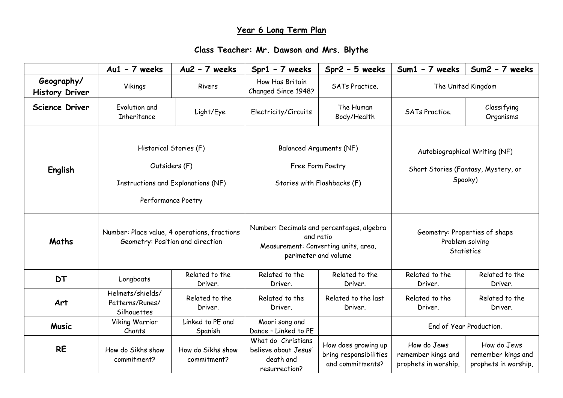## **Year 6 Long Term Plan**

## **Class Teacher: Mr. Dawson and Mrs. Blythe**

|                                     | $Au1 - 7$ weeks                                                                                            | Au2 - 7 weeks                    | $Spr1 - 7$ weeks                                                                                                       | Spr2 - 5 weeks                                                    | Sum1 - 7 weeks                                                                  | Sum2 - 7 weeks                                            |
|-------------------------------------|------------------------------------------------------------------------------------------------------------|----------------------------------|------------------------------------------------------------------------------------------------------------------------|-------------------------------------------------------------------|---------------------------------------------------------------------------------|-----------------------------------------------------------|
| Geography/<br><b>History Driver</b> | Vikings                                                                                                    | Rivers                           | How Has Britain<br>Changed Since 1948?                                                                                 | <b>SATs Practice.</b>                                             | The United Kingdom                                                              |                                                           |
| <b>Science Driver</b>               | Evolution and<br>Inheritance                                                                               | Light/Eye                        | Electricity/Circuits                                                                                                   | The Human<br>Body/Health                                          | <b>SATs Practice.</b>                                                           | Classifying<br>Organisms                                  |
| English                             | Historical Stories (F)<br>Outsiders (F)<br><b>Instructions and Explanations (NF)</b><br>Performance Poetry |                                  | <b>Balanced Arguments (NF)</b><br>Free Form Poetry<br>Stories with Flashbacks (F)                                      |                                                                   | Autobiographical Writing (NF)<br>Short Stories (Fantasy, Mystery, or<br>Spooky) |                                                           |
| Maths                               | Number: Place value, 4 operations, fractions<br>Geometry: Position and direction                           |                                  | Number: Decimals and percentages, algebra<br>and ratio<br>Measurement: Converting units, area,<br>perimeter and volume |                                                                   | Geometry: Properties of shape<br>Problem solving<br>Statistics                  |                                                           |
| <b>DT</b>                           | Longboats                                                                                                  | Related to the<br>Driver.        | Related to the<br>Driver.                                                                                              | Related to the<br>Driver.                                         | Related to the<br>Driver.                                                       | Related to the<br>Driver.                                 |
| Art                                 | Helmets/shields/<br>Patterns/Runes/<br>Silhouettes                                                         | Related to the<br>Driver.        | Related to the<br>Driver.                                                                                              | Related to the last<br>Driver.                                    | Related to the<br>Driver.                                                       | Related to the<br>Driver.                                 |
| <b>Music</b>                        | Viking Warrior<br>Chants                                                                                   | Linked to PE and<br>Spanish      | Maori song and<br>Dance - Linked to PE                                                                                 |                                                                   | End of Year Production.                                                         |                                                           |
| <b>RE</b>                           | How do Sikhs show<br>commitment?                                                                           | How do Sikhs show<br>commitment? | What do Christians<br>believe about Jesus'<br>death and<br>resurrection?                                               | How does growing up<br>bring responsibilities<br>and commitments? | How do Jews<br>remember kings and<br>prophets in worship,                       | How do Jews<br>remember kings and<br>prophets in worship, |